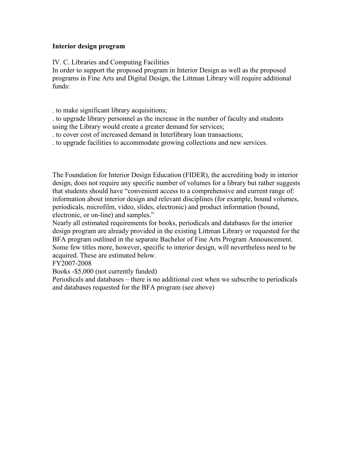## Interior design program

IV. C. Libraries and Computing Facilities

In order to support the proposed program in Interior Design as well as the proposed programs in Fine Arts and Digital Design, the Littman Library will require additional funds:

. to make significant library acquisitions;

. to upgrade library personnel as the increase in the number of faculty and students using the Library would create a greater demand for services;

. to cover cost of increased demand in Interlibrary loan transactions;

. to upgrade facilities to accommodate growing collections and new services.

The Foundation for Interior Design Education (FIDER), the accrediting body in interior design, does not require any specific number of volumes for a library but rather suggests that students should have "convenient access to a comprehensive and current range of: information about interior design and relevant disciplines (for example, bound volumes, periodicals, microfilm, video, slides, electronic) and product information (bound, electronic, or on-line) and samples."

Nearly all estimated requirements for books, periodicals and databases for the interior design program are already provided in the existing Littman Library or requested for the BFA program outlined in the separate Bachelor of Fine Arts Program Announcement. Some few titles more, however, specific to interior design, will nevertheless need to be acquired. These are estimated below.

FY2007-2008

Books -\$5,000 (not currently funded)

Periodicals and databases – there is no additional cost when we subscribe to periodicals and databases requested for the BFA program (see above)